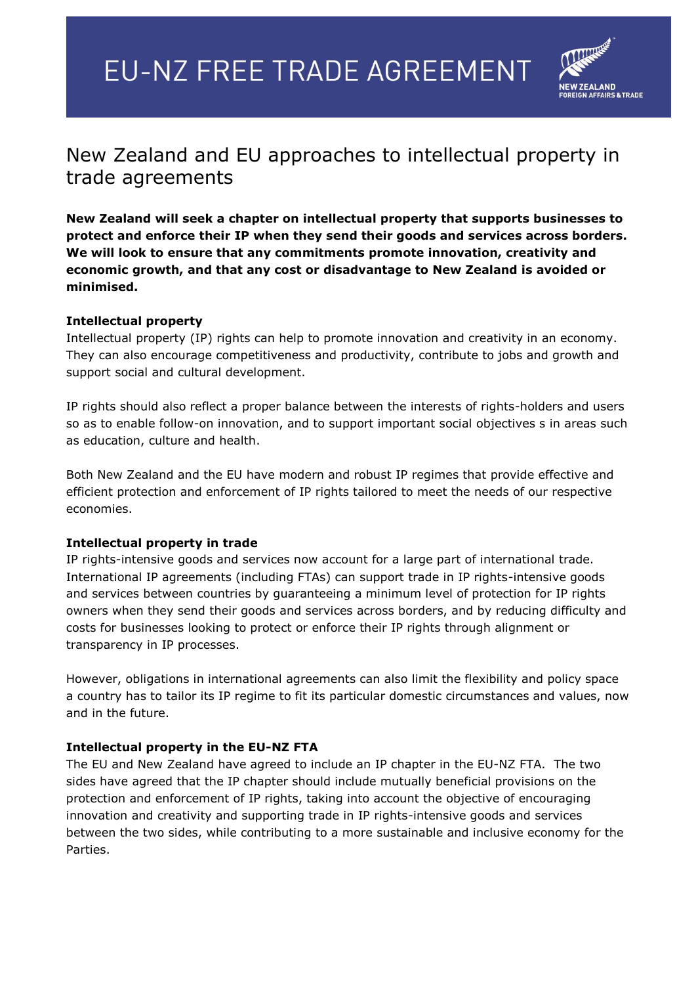# **EU-NZ FREE TRADE AGREEMENT**



# New Zealand and EU approaches to intellectual property in trade agreements

**New Zealand will seek a chapter on intellectual property that supports businesses to protect and enforce their IP when they send their goods and services across borders. We will look to ensure that any commitments promote innovation, creativity and economic growth, and that any cost or disadvantage to New Zealand is avoided or minimised.**

## **Intellectual property**

Intellectual property (IP) rights can help to promote innovation and creativity in an economy. They can also encourage competitiveness and productivity, contribute to jobs and growth and support social and cultural development.

IP rights should also reflect a proper balance between the interests of rights-holders and users so as to enable follow-on innovation, and to support important social objectives s in areas such as education, culture and health.

Both New Zealand and the EU have modern and robust IP regimes that provide effective and efficient protection and enforcement of IP rights tailored to meet the needs of our respective economies.

#### **Intellectual property in trade**

IP rights-intensive goods and services now account for a large part of international trade. International IP agreements (including FTAs) can support trade in IP rights-intensive goods and services between countries by guaranteeing a minimum level of protection for IP rights owners when they send their goods and services across borders, and by reducing difficulty and costs for businesses looking to protect or enforce their IP rights through alignment or transparency in IP processes.

However, obligations in international agreements can also limit the flexibility and policy space a country has to tailor its IP regime to fit its particular domestic circumstances and values, now and in the future.

#### **Intellectual property in the EU-NZ FTA**

The EU and New Zealand have agreed to include an IP chapter in the EU-NZ FTA. The two sides have agreed that the IP chapter should include mutually beneficial provisions on the protection and enforcement of IP rights, taking into account the objective of encouraging innovation and creativity and supporting trade in IP rights-intensive goods and services between the two sides, while contributing to a more sustainable and inclusive economy for the Parties.